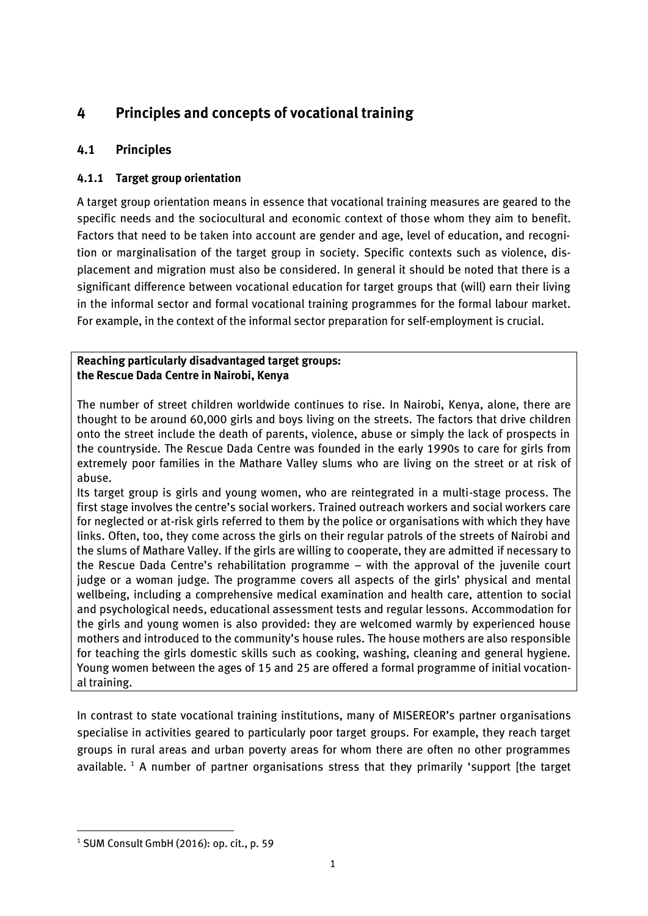# *4 Principles and concepts of vocational training*

# *4.1 Principles*

# *4.1.1 Target group orientation*

*A target group orientation means in essence that vocational training measures are geared to the specific needs and the sociocultural and economic context of those whom they aim to benefit. Factors that need to be taken into account are gender and age, level of education, and recognition or marginalisation of the target group in society. Specific contexts such as violence, displacement and migration must also be considered. In general it should be noted that there is a significant difference between vocational education for target groups that (will) earn their living in the informal sector and formal vocational training programmes for the formal labour market. For example, in the context of the informal sector preparation for self-employment is crucial.*

#### *Reaching particularly disadvantaged target groups: the Rescue Dada Centre in Nairobi, Kenya*

*The number of street children worldwide continues to rise. In Nairobi, Kenya, alone, there are thought to be around 60,000 girls and boys living on the streets. The factors that drive children onto the street include the death of parents, violence, abuse or simply the lack of prospects in the countryside. The Rescue Dada Centre was founded in the early 1990s to care for girls from extremely poor families in the Mathare Valley slums who are living on the street or at risk of abuse.*

*Its target group is girls and young women, who are reintegrated in a multi-stage process. The first stage involves the centre's social workers. Trained outreach workers and social workers care for neglected or at-risk girls referred to them by the police or organisations with which they have links. Often, too, they come across the girls on their regular patrols of the streets of Nairobi and the slums of Mathare Valley. If the girls are willing to cooperate, they are admitted if necessary to the Rescue Dada Centre's rehabilitation programme – with the approval of the juvenile court judge or a woman judge. The programme covers all aspects of the girls' physical and mental wellbeing, including a comprehensive medical examination and health care, attention to social and psychological needs, educational assessment tests and regular lessons. Accommodation for the girls and young women is also provided: they are welcomed warmly by experienced house mothers and introduced to the community's house rules. The house mothers are also responsible for teaching the girls domestic skills such as cooking, washing, cleaning and general hygiene. Young women between the ages of 15 and 25 are offered a formal programme of initial vocational training.*

*In contrast to state vocational training institutions, many of MISEREOR's partner organisations specialise in activities geared to particularly poor target groups. For example, they reach target groups in rural areas and urban poverty areas for whom there are often no other programmes available. <sup>1</sup> A number of partner organisations stress that they primarily 'support [the target* 

*<sup>1</sup> SUM Consult GmbH (2016): op. cit., p. 59*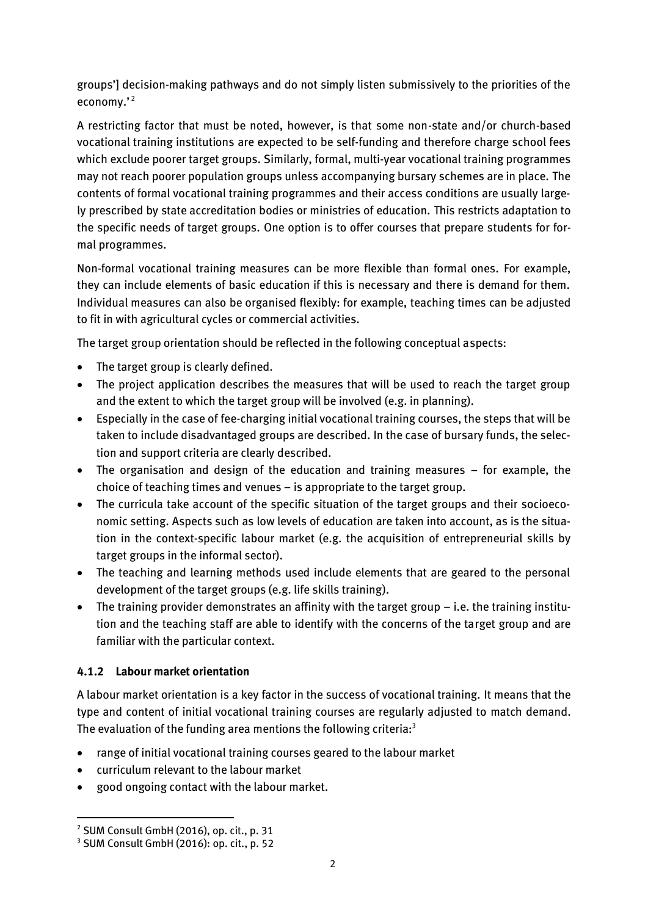*groups'] decision-making pathways and do not simply listen submissively to the priorities of the economy.' 2*

*A restricting factor that must be noted, however, is that some non-state and/or church-based vocational training institutions are expected to be self-funding and therefore charge school fees which exclude poorer target groups. Similarly, formal, multi-year vocational training programmes may not reach poorer population groups unless accompanying bursary schemes are in place. The contents of formal vocational training programmes and their access conditions are usually largely prescribed by state accreditation bodies or ministries of education. This restricts adaptation to the specific needs of target groups. One option is to offer courses that prepare students for formal programmes.*

*Non-formal vocational training measures can be more flexible than formal ones. For example, they can include elements of basic education if this is necessary and there is demand for them. Individual measures can also be organised flexibly: for example, teaching times can be adjusted to fit in with agricultural cycles or commercial activities.*

*The target group orientation should be reflected in the following conceptual aspects:*

- *The target group is clearly defined.*
- *The project application describes the measures that will be used to reach the target group and the extent to which the target group will be involved (e.g. in planning).*
- *Especially in the case of fee-charging initial vocational training courses, the steps that will be taken to include disadvantaged groups are described. In the case of bursary funds, the selection and support criteria are clearly described.*
- The organisation and design of the education and training measures for example, the *choice of teaching times and venues – is appropriate to the target group.*
- *The curricula take account of the specific situation of the target groups and their socioeconomic setting. Aspects such as low levels of education are taken into account, as is the situation in the context-specific labour market (e.g. the acquisition of entrepreneurial skills by target groups in the informal sector).*
- *The teaching and learning methods used include elements that are geared to the personal development of the target groups (e.g. life skills training).*
- The training provider demonstrates an affinity with the target group *i.e.* the training institu*tion and the teaching staff are able to identify with the concerns of the target group and are familiar with the particular context.*

## *4.1.2 Labour market orientation*

*A labour market orientation is a key factor in the success of vocational training. It means that the type and content of initial vocational training courses are regularly adjusted to match demand. The evaluation of the funding area mentions the following criteria:<sup>3</sup>*

- *range of initial vocational training courses geared to the labour market*
- *curriculum relevant to the labour market*
- *good ongoing contact with the labour market.*

*<sup>2</sup> SUM Consult GmbH (2016), op. cit., p. 31*

*<sup>3</sup> SUM Consult GmbH (2016): op. cit., p. 52*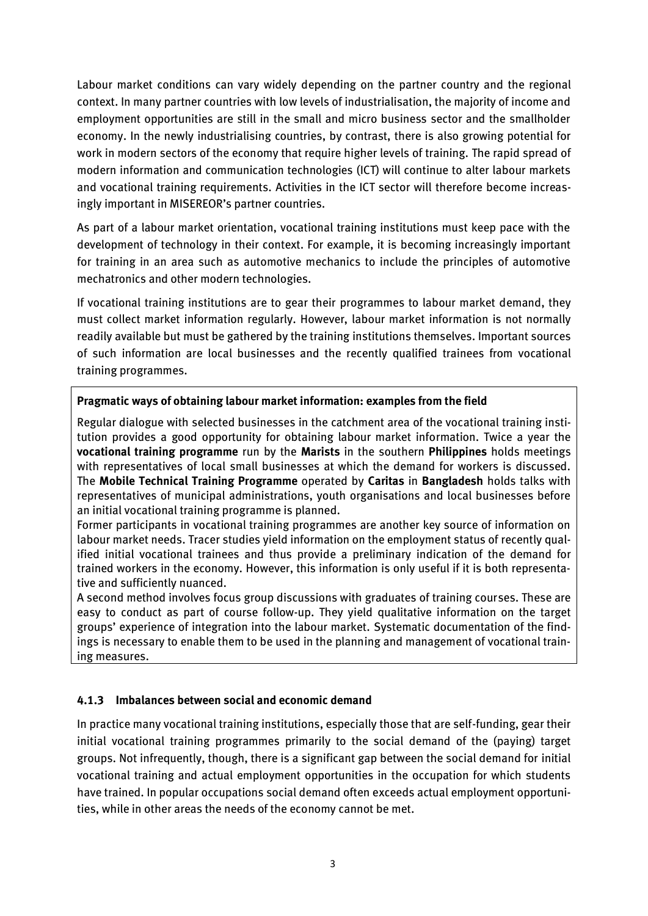Labour market conditions can vary widely depending on the partner country and the regional *context. In many partner countries with low levels of industrialisation, the majority of income and employment opportunities are still in the small and micro business sector and the smallholder economy. In the newly industrialising countries, by contrast, there is also growing potential for work in modern sectors of the economy that require higher levels of training. The rapid spread of modern information and communication technologies (ICT) will continue to alter labour markets and vocational training requirements. Activities in the ICT sector will therefore become increasingly important in MISEREOR's partner countries.*

*As part of a labour market orientation, vocational training institutions must keep pace with the development of technology in their context. For example, it is becoming increasingly important for training in an area such as automotive mechanics to include the principles of automotive mechatronics and other modern technologies.*

*If vocational training institutions are to gear their programmes to labour market demand, they must collect market information regularly. However, labour market information is not normally readily available but must be gathered by the training institutions themselves. Important sources of such information are local businesses and the recently qualified trainees from vocational training programmes.*

#### *Pragmatic ways of obtaining labour market information: examples from the field*

*Regular dialogue with selected businesses in the catchment area of the vocational training institution provides a good opportunity for obtaining labour market information. Twice a year the vocational training programme run by the Marists in the southern Philippines holds meetings with representatives of local small businesses at which the demand for workers is discussed. The Mobile Technical Training Programme operated by Caritas in Bangladesh holds talks with representatives of municipal administrations, youth organisations and local businesses before an initial vocational training programme is planned.*

*Former participants in vocational training programmes are another key source of information on labour market needs. Tracer studies yield information on the employment status of recently qualified initial vocational trainees and thus provide a preliminary indication of the demand for trained workers in the economy. However, this information is only useful if it is both representative and sufficiently nuanced.*

*A second method involves focus group discussions with graduates of training courses. These are easy to conduct as part of course follow-up. They yield qualitative information on the target groups' experience of integration into the labour market. Systematic documentation of the findings is necessary to enable them to be used in the planning and management of vocational training measures.*

## *4.1.3 Imbalances between social and economic demand*

*In practice many vocational training institutions, especially those that are self-funding, gear their initial vocational training programmes primarily to the social demand of the (paying) target groups. Not infrequently, though, there is a significant gap between the social demand for initial vocational training and actual employment opportunities in the occupation for which students have trained. In popular occupations social demand often exceeds actual employment opportunities, while in other areas the needs of the economy cannot be met.*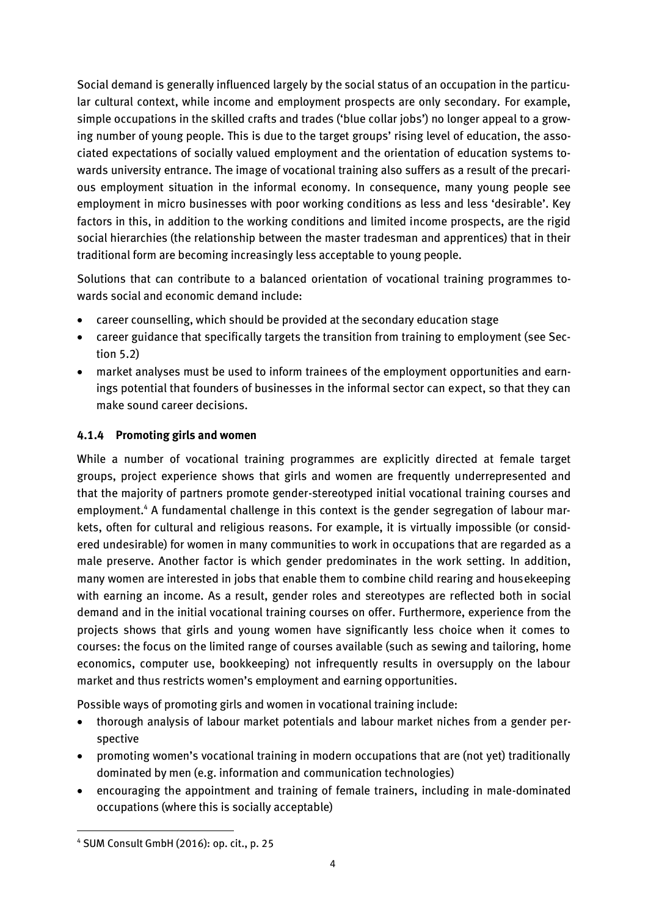*Social demand is generally influenced largely by the social status of an occupation in the particular cultural context, while income and employment prospects are only secondary. For example, simple occupations in the skilled crafts and trades ('blue collar jobs') no longer appeal to a growing number of young people. This is due to the target groups' rising level of education, the associated expectations of socially valued employment and the orientation of education systems towards university entrance. The image of vocational training also suffers as a result of the precarious employment situation in the informal economy. In consequence, many young people see employment in micro businesses with poor working conditions as less and less 'desirable'. Key factors in this, in addition to the working conditions and limited income prospects, are the rigid social hierarchies (the relationship between the master tradesman and apprentices) that in their traditional form are becoming increasingly less acceptable to young people.*

*Solutions that can contribute to a balanced orientation of vocational training programmes towards social and economic demand include:*

- *career counselling, which should be provided at the secondary education stage*
- *career guidance that specifically targets the transition from training to employment (see Section 5.2)*
- *market analyses must be used to inform trainees of the employment opportunities and earnings potential that founders of businesses in the informal sector can expect, so that they can make sound career decisions.*

# *4.1.4 Promoting girls and women*

*While a number of vocational training programmes are explicitly directed at female target groups, project experience shows that girls and women are frequently underrepresented and that the majority of partners promote gender-stereotyped initial vocational training courses and employment. <sup>4</sup> A fundamental challenge in this context is the gender segregation of labour markets, often for cultural and religious reasons. For example, it is virtually impossible (or considered undesirable) for women in many communities to work in occupations that are regarded as a male preserve. Another factor is which gender predominates in the work setting. In addition, many women are interested in jobs that enable them to combine child rearing and housekeeping with earning an income. As a result, gender roles and stereotypes are reflected both in social demand and in the initial vocational training courses on offer. Furthermore, experience from the projects shows that girls and young women have significantly less choice when it comes to courses: the focus on the limited range of courses available (such as sewing and tailoring, home economics, computer use, bookkeeping) not infrequently results in oversupply on the labour market and thus restricts women's employment and earning opportunities.*

*Possible ways of promoting girls and women in vocational training include:*

- *thorough analysis of labour market potentials and labour market niches from a gender perspective*
- *promoting women's vocational training in modern occupations that are (not yet) traditionally dominated by men (e.g. information and communication technologies)*
- *encouraging the appointment and training of female trainers, including in male-dominated occupations (where this is socially acceptable)*

**<sup>.</sup>** *<sup>4</sup> SUM Consult GmbH (2016): op. cit., p. 25*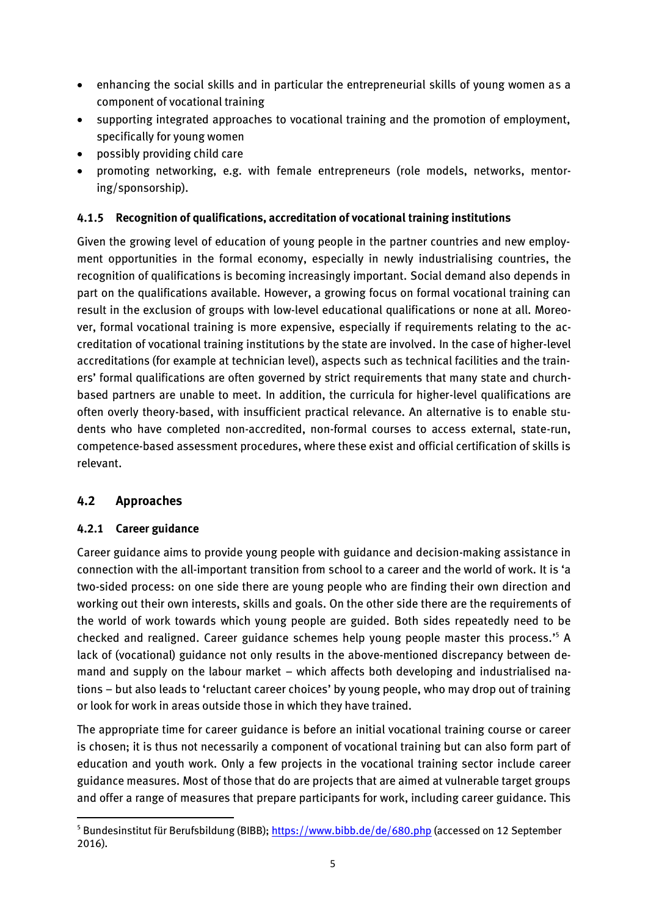- *enhancing the social skills and in particular the entrepreneurial skills of young women as a component of vocational training*
- *supporting integrated approaches to vocational training and the promotion of employment, specifically for young women*
- *possibly providing child care*
- *promoting networking, e.g. with female entrepreneurs (role models, networks, mentoring/sponsorship).*

## *4.1.5 Recognition of qualifications, accreditation of vocational training institutions*

*Given the growing level of education of young people in the partner countries and new employment opportunities in the formal economy, especially in newly industrialising countries, the recognition of qualifications is becoming increasingly important. Social demand also depends in part on the qualifications available. However, a growing focus on formal vocational training can result in the exclusion of groups with low-level educational qualifications or none at all. Moreover, formal vocational training is more expensive, especially if requirements relating to the accreditation of vocational training institutions by the state are involved. In the case of higher-level accreditations (for example at technician level), aspects such as technical facilities and the train*ers' formal qualifications are often governed by strict requirements that many state and church*based partners are unable to meet. In addition, the curricula for higher-level qualifications are often overly theory-based, with insufficient practical relevance. An alternative is to enable students who have completed non-accredited, non-formal courses to access external, state-run, competence-based assessment procedures, where these exist and official certification of skills is relevant.*

# *4.2 Approaches*

## *4.2.1 Career guidance*

*Career guidance aims to provide young people with guidance and decision-making assistance in connection with the all-important transition from school to a career and the world of work. It is 'a two-sided process: on one side there are young people who are finding their own direction and working out their own interests, skills and goals. On the other side there are the requirements of the world of work towards which young people are guided. Both sides repeatedly need to be checked and realigned. Career guidance schemes help young people master this process.' <sup>5</sup> A lack of (vocational) guidance not only results in the above-mentioned discrepancy between demand and supply on the labour market – which affects both developing and industrialised nations – but also leads to 'reluctant career choices' by young people, who may drop out of training or look for work in areas outside those in which they have trained.*

*The appropriate time for career guidance is before an initial vocational training course or career is chosen; it is thus not necessarily a component of vocational training but can also form part of education and youth work. Only a few projects in the vocational training sector include career guidance measures. Most of those that do are projects that are aimed at vulnerable target groups and offer a range of measures that prepare participants for work, including career guidance. This* 

**<sup>.</sup>** *<sup>5</sup> Bundesinstitut für Berufsbildung (BIBB);<https://www.bibb.de/de/680.php> (accessed on 12 September 2016).*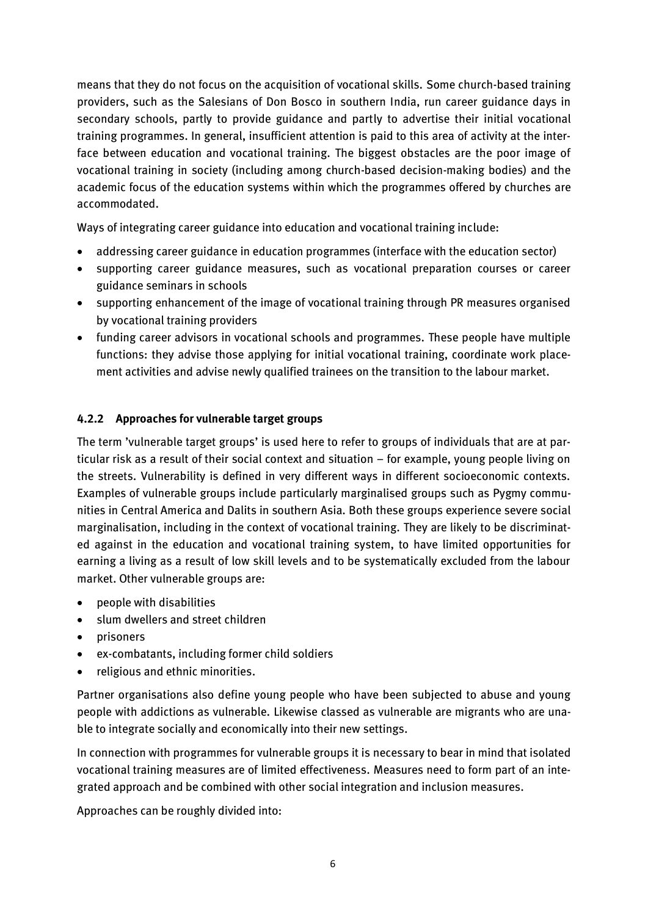*means that they do not focus on the acquisition of vocational skills. Some church-based training providers, such as the Salesians of Don Bosco in southern India, run career guidance days in secondary schools, partly to provide guidance and partly to advertise their initial vocational training programmes. In general, insufficient attention is paid to this area of activity at the interface between education and vocational training. The biggest obstacles are the poor image of vocational training in society (including among church-based decision-making bodies) and the academic focus of the education systems within which the programmes offered by churches are accommodated.*

*Ways of integrating career guidance into education and vocational training include:*

- *addressing career guidance in education programmes (interface with the education sector)*
- *supporting career guidance measures, such as vocational preparation courses or career guidance seminars in schools*
- *supporting enhancement of the image of vocational training through PR measures organised by vocational training providers*
- *funding career advisors in vocational schools and programmes. These people have multiple functions: they advise those applying for initial vocational training, coordinate work placement activities and advise newly qualified trainees on the transition to the labour market.*

#### *4.2.2 Approaches for vulnerable target groups*

*The term 'vulnerable target groups' is used here to refer to groups of individuals that are at particular risk as a result of their social context and situation – for example, young people living on the streets. Vulnerability is defined in very different ways in different socioeconomic contexts. Examples of vulnerable groups include particularly marginalised groups such as Pygmy communities in Central America and Dalits in southern Asia. Both these groups experience severe social marginalisation, including in the context of vocational training. They are likely to be discriminated against in the education and vocational training system, to have limited opportunities for earning a living as a result of low skill levels and to be systematically excluded from the labour market. Other vulnerable groups are:*

- *people with disabilities*
- *slum dwellers and street children*
- *prisoners*
- *ex-combatants, including former child soldiers*
- *religious and ethnic minorities.*

*Partner organisations also define young people who have been subjected to abuse and young people with addictions as vulnerable. Likewise classed as vulnerable are migrants who are unable to integrate socially and economically into their new settings.*

*In connection with programmes for vulnerable groups it is necessary to bear in mind that isolated vocational training measures are of limited effectiveness. Measures need to form part of an integrated approach and be combined with other social integration and inclusion measures.*

*Approaches can be roughly divided into:*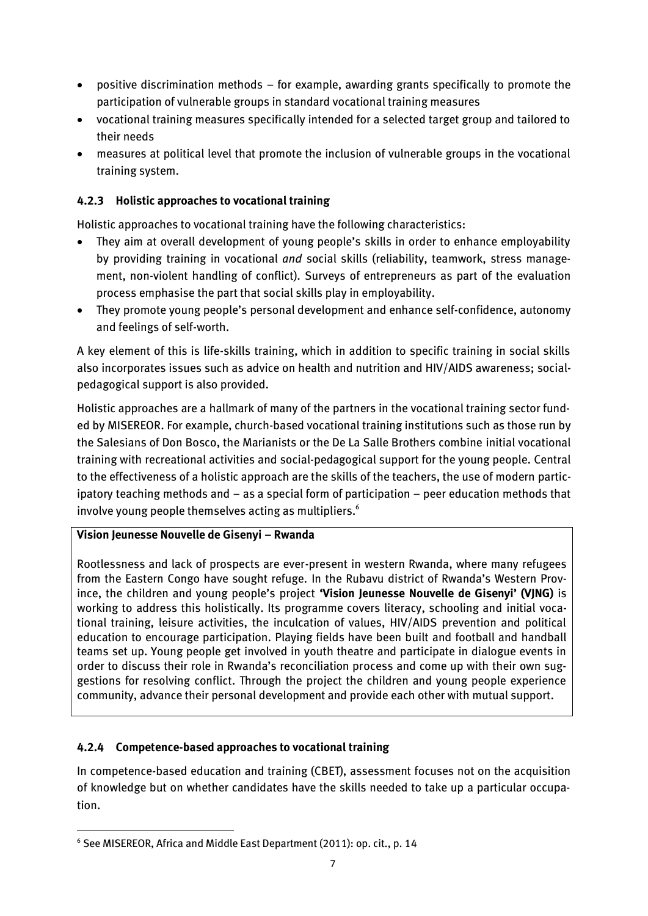- *positive discrimination methods – for example, awarding grants specifically to promote the participation of vulnerable groups in standard vocational training measures*
- *vocational training measures specifically intended for a selected target group and tailored to their needs*
- *measures at political level that promote the inclusion of vulnerable groups in the vocational training system.*

# *4.2.3 Holistic approaches to vocational training*

*Holistic approaches to vocational training have the following characteristics:*

- *They aim at overall development of young people's skills in order to enhance employability by providing training in vocational and social skills (reliability, teamwork, stress management, non-violent handling of conflict). Surveys of entrepreneurs as part of the evaluation process emphasise the part that social skills play in employability.*
- *They promote young people's personal development and enhance self-confidence, autonomy and feelings of self-worth.*

*A key element of this is life-skills training, which in addition to specific training in social skills also incorporates issues such as advice on health and nutrition and HIV/AIDS awareness; socialpedagogical support is also provided.*

*Holistic approaches are a hallmark of many of the partners in the vocational training sector funded by MISEREOR. For example, church-based vocational training institutions such as those run by the Salesians of Don Bosco, the Marianists or the De La Salle Brothers combine initial vocational training with recreational activities and social-pedagogical support for the young people. Central to the effectiveness of a holistic approach are the skills of the teachers, the use of modern participatory teaching methods and – as a special form of participation – peer education methods that involve young people themselves acting as multipliers.<sup>6</sup>*

## *Vision Jeunesse Nouvelle de Gisenyi – Rwanda*

*Rootlessness and lack of prospects are ever-present in western Rwanda, where many refugees from the Eastern Congo have sought refuge. In the Rubavu district of Rwanda's Western Province, the children and young people's project 'Vision Jeunesse Nouvelle de Gisenyi' (VJNG) is working to address this holistically. Its programme covers literacy, schooling and initial vocational training, leisure activities, the inculcation of values, HIV/AIDS prevention and political education to encourage participation. Playing fields have been built and football and handball teams set up. Young people get involved in youth theatre and participate in dialogue events in order to discuss their role in Rwanda's reconciliation process and come up with their own suggestions for resolving conflict. Through the project the children and young people experience community, advance their personal development and provide each other with mutual support.*

## *4.2.4 Competence-based approaches to vocational training*

*In competence-based education and training (CBET), assessment focuses not on the acquisition of knowledge but on whether candidates have the skills needed to take up a particular occupation.* 

*<sup>6</sup> See MISEREOR, Africa and Middle East Department (2011): op. cit., p. 14*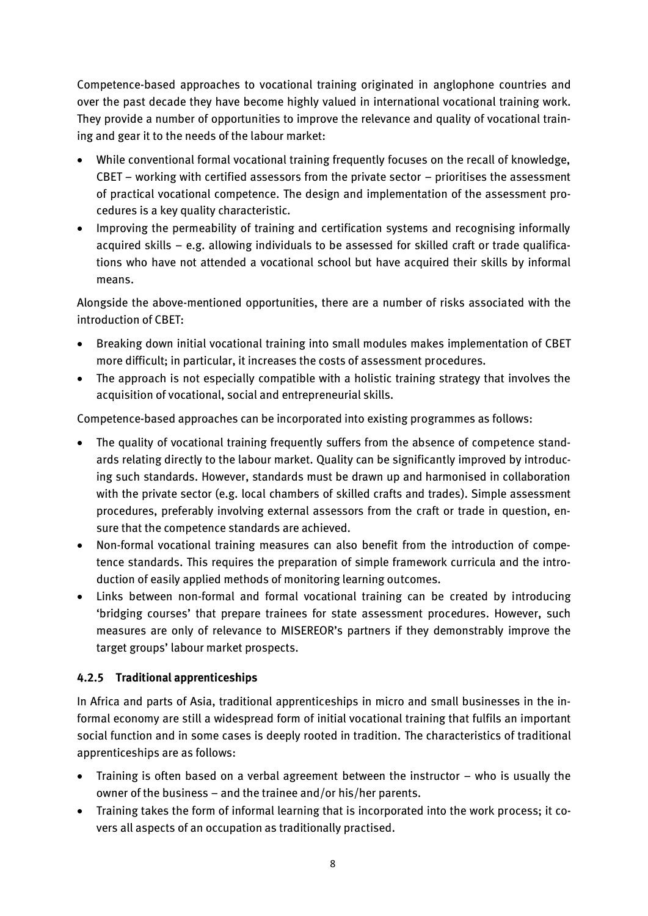*Competence-based approaches to vocational training originated in anglophone countries and over the past decade they have become highly valued in international vocational training work. They provide a number of opportunities to improve the relevance and quality of vocational training and gear it to the needs of the labour market:*

- *While conventional formal vocational training frequently focuses on the recall of knowledge, CBET – working with certified assessors from the private sector – prioritises the assessment of practical vocational competence. The design and implementation of the assessment procedures is a key quality characteristic.*
- *Improving the permeability of training and certification systems and recognising informally acquired skills – e.g. allowing individuals to be assessed for skilled craft or trade qualifications who have not attended a vocational school but have acquired their skills by informal means.*

*Alongside the above-mentioned opportunities, there are a number of risks associated with the introduction of CBET:*

- *Breaking down initial vocational training into small modules makes implementation of CBET more difficult; in particular, it increases the costs of assessment procedures.*
- *The approach is not especially compatible with a holistic training strategy that involves the acquisition of vocational, social and entrepreneurial skills.*

*Competence-based approaches can be incorporated into existing programmes as follows:*

- *The quality of vocational training frequently suffers from the absence of competence standards relating directly to the labour market. Quality can be significantly improved by introducing such standards. However, standards must be drawn up and harmonised in collaboration with the private sector (e.g. local chambers of skilled crafts and trades). Simple assessment procedures, preferably involving external assessors from the craft or trade in question, ensure that the competence standards are achieved.*
- *Non-formal vocational training measures can also benefit from the introduction of competence standards. This requires the preparation of simple framework curricula and the introduction of easily applied methods of monitoring learning outcomes.*
- *Links between non-formal and formal vocational training can be created by introducing 'bridging courses' that prepare trainees for state assessment procedures. However, such measures are only of relevance to MISEREOR's partners if they demonstrably improve the target groups' labour market prospects.*

## *4.2.5 Traditional apprenticeships*

*In Africa and parts of Asia, traditional apprenticeships in micro and small businesses in the informal economy are still a widespread form of initial vocational training that fulfils an important social function and in some cases is deeply rooted in tradition. The characteristics of traditional apprenticeships are as follows:*

- *Training is often based on a verbal agreement between the instructor who is usually the owner of the business – and the trainee and/or his/her parents.*
- *Training takes the form of informal learning that is incorporated into the work process; it covers all aspects of an occupation as traditionally practised.*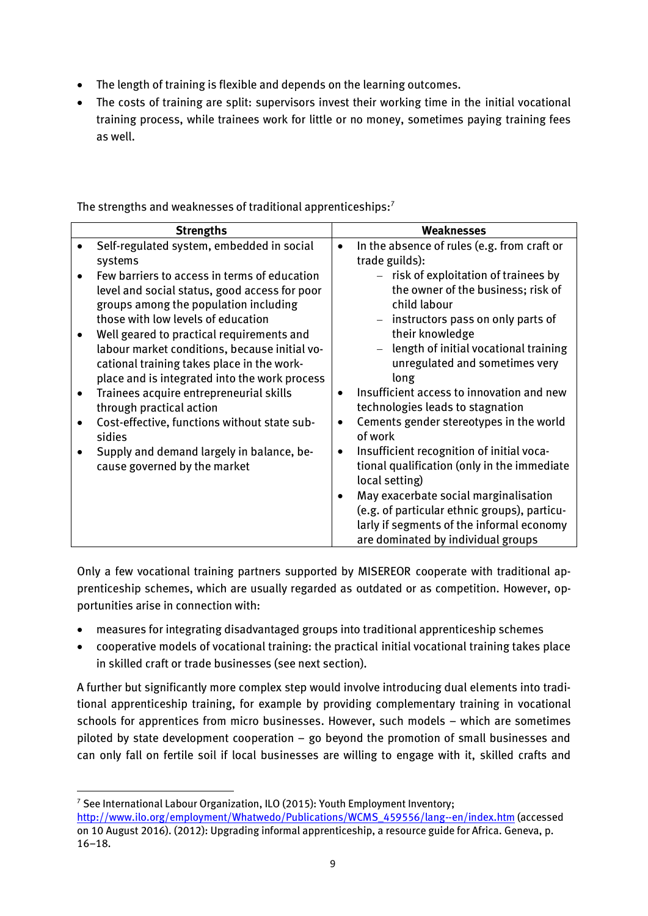- *The length of training is flexible and depends on the learning outcomes.*
- *The costs of training are split: supervisors invest their working time in the initial vocational training process, while trainees work for little or no money, sometimes paying training fees as well.*

| <b>Strengths</b>                                                                                                                                                                          |           | Weaknesses                                                                                                                                                                                          |
|-------------------------------------------------------------------------------------------------------------------------------------------------------------------------------------------|-----------|-----------------------------------------------------------------------------------------------------------------------------------------------------------------------------------------------------|
| Self-regulated system, embedded in social<br>systems                                                                                                                                      |           | In the absence of rules (e.g. from craft or<br>trade guilds):                                                                                                                                       |
| Few barriers to access in terms of education<br>level and social status, good access for poor<br>groups among the population including<br>those with low levels of education              |           | $-$ risk of exploitation of trainees by<br>the owner of the business; risk of<br>child labour<br>- instructors pass on only parts of                                                                |
| Well geared to practical requirements and<br>labour market conditions, because initial vo-<br>cational training takes place in the work-<br>place and is integrated into the work process |           | their knowledge<br>length of initial vocational training<br>unregulated and sometimes very<br>long                                                                                                  |
| Trainees acquire entrepreneurial skills<br>through practical action                                                                                                                       |           | Insufficient access to innovation and new<br>technologies leads to stagnation                                                                                                                       |
| Cost-effective, functions without state sub-<br>sidies                                                                                                                                    |           | Cements gender stereotypes in the world<br>of work                                                                                                                                                  |
| Supply and demand largely in balance, be-<br>cause governed by the market                                                                                                                 | $\bullet$ | Insufficient recognition of initial voca-<br>tional qualification (only in the immediate<br>local setting)<br>May exacerbate social marginalisation<br>(e.g. of particular ethnic groups), particu- |
|                                                                                                                                                                                           |           | larly if segments of the informal economy<br>are dominated by individual groups                                                                                                                     |

*The strengths and weaknesses of traditional apprenticeships:<sup>7</sup>*

*Only a few vocational training partners supported by MISEREOR cooperate with traditional apprenticeship schemes, which are usually regarded as outdated or as competition. However, opportunities arise in connection with:*

- *measures for integrating disadvantaged groups into traditional apprenticeship schemes*
- *cooperative models of vocational training: the practical initial vocational training takes place in skilled craft or trade businesses (see next section).*

*A further but significantly more complex step would involve introducing dual elements into traditional apprenticeship training, for example by providing complementary training in vocational schools for apprentices from micro businesses. However, such models – which are sometimes piloted by state development cooperation – go beyond the promotion of small businesses and can only fall on fertile soil if local businesses are willing to engage with it, skilled crafts and* 

*<sup>7</sup> See International Labour Organization, ILO (2015): Youth Employment Inventory;* 

*[http://www.ilo.org/employment/Whatwedo/Publications/WCMS\\_459556/lang--en/index.htm](http://www.ilo.org/employment/Whatwedo/Publications/WCMS_459556/lang--en/index.htm) (accessed on 10 August 2016). (2012): Upgrading informal apprenticeship, a resource guide for Africa. Geneva, p. 16–18.*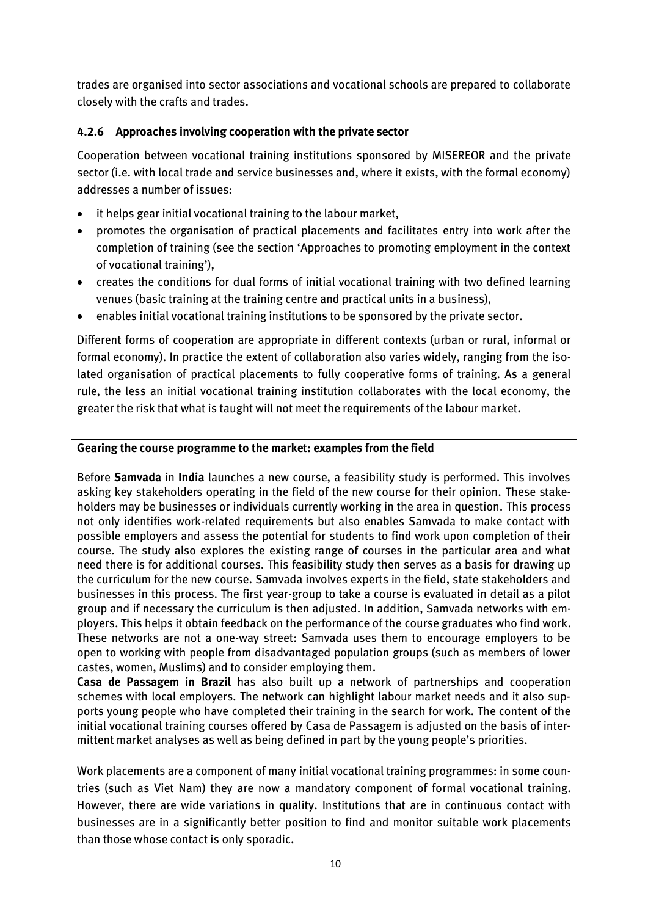*trades are organised into sector associations and vocational schools are prepared to collaborate closely with the crafts and trades.*

# *4.2.6 Approaches involving cooperation with the private sector*

*Cooperation between vocational training institutions sponsored by MISEREOR and the private sector (i.e. with local trade and service businesses and, where it exists, with the formal economy) addresses a number of issues:*

- *it helps gear initial vocational training to the labour market,*
- *promotes the organisation of practical placements and facilitates entry into work after the completion of training (see the section 'Approaches to promoting employment in the context of vocational training'),*
- *creates the conditions for dual forms of initial vocational training with two defined learning venues (basic training at the training centre and practical units in a business),*
- *enables initial vocational training institutions to be sponsored by the private sector.*

*Different forms of cooperation are appropriate in different contexts (urban or rural, informal or formal economy). In practice the extent of collaboration also varies widely, ranging from the isolated organisation of practical placements to fully cooperative forms of training. As a general rule, the less an initial vocational training institution collaborates with the local economy, the greater the risk that what is taught will not meet the requirements of the labour market.*

## *Gearing the course programme to the market: examples from the field*

*Before Samvada in India launches a new course, a feasibility study is performed. This involves asking key stakeholders operating in the field of the new course for their opinion. These stakeholders may be businesses or individuals currently working in the area in question. This process not only identifies work-related requirements but also enables Samvada to make contact with possible employers and assess the potential for students to find work upon completion of their course. The study also explores the existing range of courses in the particular area and what need there is for additional courses. This feasibility study then serves as a basis for drawing up the curriculum for the new course. Samvada involves experts in the field, state stakeholders and businesses in this process. The first year-group to take a course is evaluated in detail as a pilot group and if necessary the curriculum is then adjusted. In addition, Samvada networks with employers. This helps it obtain feedback on the performance of the course graduates who find work. These networks are not a one-way street: Samvada uses them to encourage employers to be open to working with people from disadvantaged population groups (such as members of lower castes, women, Muslims) and to consider employing them.*

*Casa de Passagem in Brazil has also built up a network of partnerships and cooperation schemes with local employers. The network can highlight labour market needs and it also supports young people who have completed their training in the search for work. The content of the initial vocational training courses offered by Casa de Passagem is adjusted on the basis of intermittent market analyses as well as being defined in part by the young people's priorities.*

*Work placements are a component of many initial vocational training programmes: in some countries (such as Viet Nam) they are now a mandatory component of formal vocational training. However, there are wide variations in quality. Institutions that are in continuous contact with businesses are in a significantly better position to find and monitor suitable work placements than those whose contact is only sporadic.*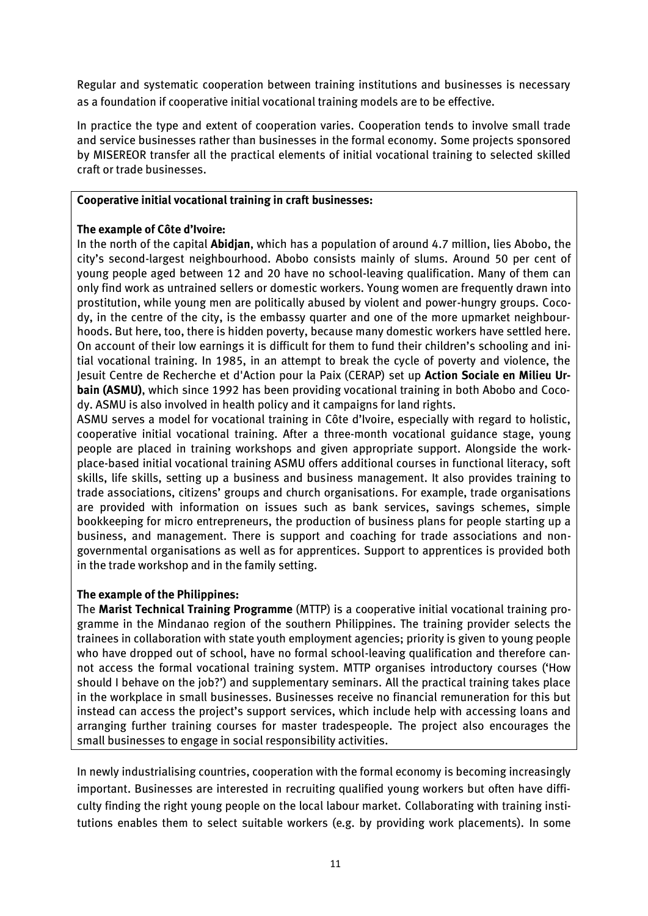*Regular and systematic cooperation between training institutions and businesses is necessary as a foundation if cooperative initial vocational training models are to be effective.*

*In practice the type and extent of cooperation varies. Cooperation tends to involve small trade and service businesses rather than businesses in the formal economy. Some projects sponsored by MISEREOR transfer all the practical elements of initial vocational training to selected skilled craft or trade businesses.*

#### *Cooperative initial vocational training in craft businesses:*

#### *The example of Côte d'Ivoire:*

*In the north of the capital Abidjan, which has a population of around 4.7 million, lies Abobo, the city's second-largest neighbourhood. Abobo consists mainly of slums. Around 50 per cent of young people aged between 12 and 20 have no school-leaving qualification. Many of them can only find work as untrained sellers or domestic workers. Young women are frequently drawn into prostitution, while young men are politically abused by violent and power-hungry groups. Cocody, in the centre of the city, is the embassy quarter and one of the more upmarket neighbourhoods. But here, too, there is hidden poverty, because many domestic workers have settled here. On account of their low earnings it is difficult for them to fund their children's schooling and initial vocational training. In 1985, in an attempt to break the cycle of poverty and violence, the Jesuit Centre de Recherche et d'Action pour la Paix (CERAP) set up Action Sociale en Milieu Urbain (ASMU), which since 1992 has been providing vocational training in both Abobo and Cocody. ASMU is also involved in health policy and it campaigns for land rights.*

*ASMU serves a model for vocational training in Côte d'Ivoire, especially with regard to holistic, cooperative initial vocational training. After a three-month vocational guidance stage, young people are placed in training workshops and given appropriate support. Alongside the workplace-based initial vocational training ASMU offers additional courses in functional literacy, soft skills, life skills, setting up a business and business management. It also provides training to trade associations, citizens' groups and church organisations. For example, trade organisations are provided with information on issues such as bank services, savings schemes, simple bookkeeping for micro entrepreneurs, the production of business plans for people starting up a business, and management. There is support and coaching for trade associations and nongovernmental organisations as well as for apprentices. Support to apprentices is provided both in the trade workshop and in the family setting.*

#### *The example of the Philippines:*

*The Marist Technical Training Programme (MTTP) is a cooperative initial vocational training programme in the Mindanao region of the southern Philippines. The training provider selects the trainees in collaboration with state youth employment agencies; priority is given to young people who have dropped out of school, have no formal school-leaving qualification and therefore cannot access the formal vocational training system. MTTP organises introductory courses ('How should I behave on the job?') and supplementary seminars. All the practical training takes place in the workplace in small businesses. Businesses receive no financial remuneration for this but instead can access the project's support services, which include help with accessing loans and arranging further training courses for master tradespeople. The project also encourages the small businesses to engage in social responsibility activities.*

*In newly industrialising countries, cooperation with the formal economy is becoming increasingly important. Businesses are interested in recruiting qualified young workers but often have difficulty finding the right young people on the local labour market. Collaborating with training institutions enables them to select suitable workers (e.g. by providing work placements). In some*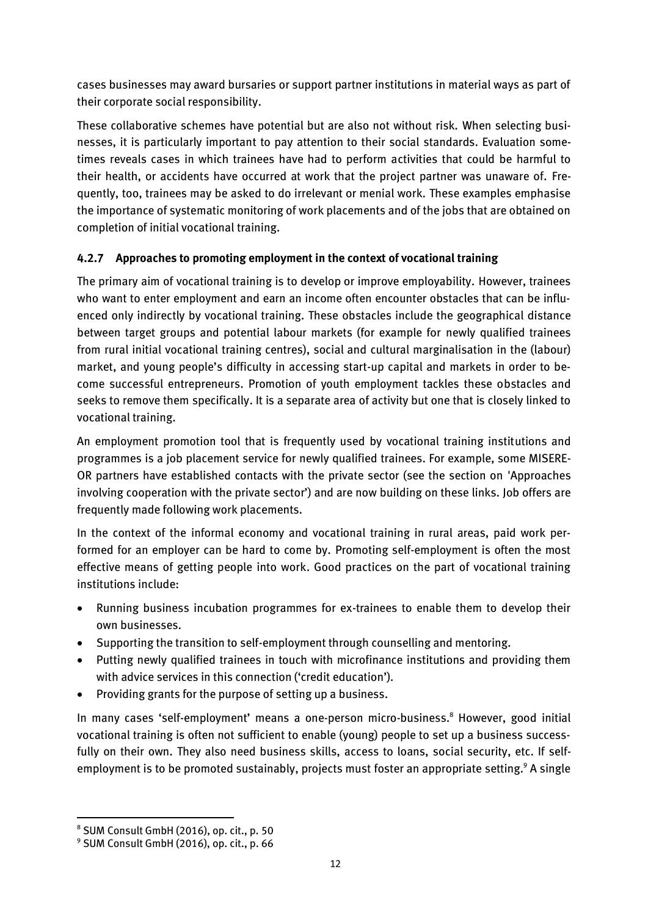*cases businesses may award bursaries or support partner institutions in material ways as part of their corporate social responsibility.*

*These collaborative schemes have potential but are also not without risk. When selecting businesses, it is particularly important to pay attention to their social standards. Evaluation sometimes reveals cases in which trainees have had to perform activities that could be harmful to their health, or accidents have occurred at work that the project partner was unaware of. Frequently, too, trainees may be asked to do irrelevant or menial work. These examples emphasise the importance of systematic monitoring of work placements and of the jobs that are obtained on completion of initial vocational training.*

# *4.2.7 Approaches to promoting employment in the context of vocational training*

*The primary aim of vocational training is to develop or improve employability. However, trainees who want to enter employment and earn an income often encounter obstacles that can be influenced only indirectly by vocational training. These obstacles include the geographical distance between target groups and potential labour markets (for example for newly qualified trainees from rural initial vocational training centres), social and cultural marginalisation in the (labour) market, and young people's difficulty in accessing start-up capital and markets in order to become successful entrepreneurs. Promotion of youth employment tackles these obstacles and seeks to remove them specifically. It is a separate area of activity but one that is closely linked to vocational training.*

*An employment promotion tool that is frequently used by vocational training institutions and programmes is a job placement service for newly qualified trainees. For example, some MISERE-OR partners have established contacts with the private sector (see the section on 'Approaches involving cooperation with the private sector') and are now building on these links. Job offers are frequently made following work placements.*

*In the context of the informal economy and vocational training in rural areas, paid work performed for an employer can be hard to come by. Promoting self-employment is often the most effective means of getting people into work. Good practices on the part of vocational training institutions include:*

- *Running business incubation programmes for ex-trainees to enable them to develop their own businesses.*
- *Supporting the transition to self-employment through counselling and mentoring.*
- *Putting newly qualified trainees in touch with microfinance institutions and providing them with advice services in this connection ('credit education').*
- *Providing grants for the purpose of setting up a business.*

*In many cases 'self-employment' means a one-person micro-business.<sup>8</sup> However, good initial vocational training is often not sufficient to enable (young) people to set up a business successfully on their own. They also need business skills, access to loans, social security, etc. If selfemployment is to be promoted sustainably, projects must foster an appropriate setting. <sup>9</sup> A single* 

*<sup>8</sup> SUM Consult GmbH (2016), op. cit., p. 50*

*<sup>9</sup> SUM Consult GmbH (2016), op. cit., p. 66*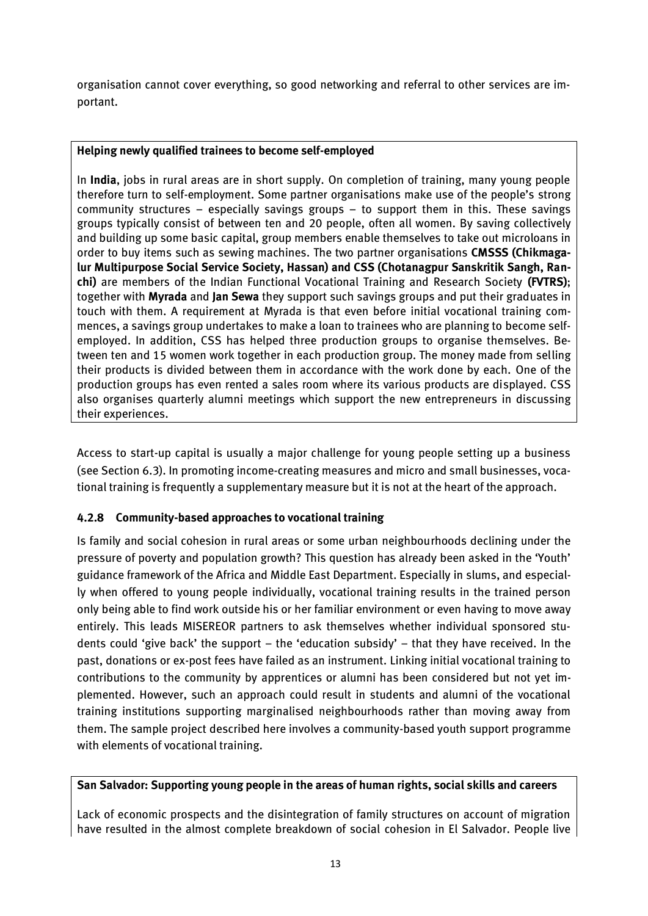*organisation cannot cover everything, so good networking and referral to other services are important.*

#### *Helping newly qualified trainees to become self-employed*

*In India, jobs in rural areas are in short supply. On completion of training, many young people therefore turn to self-employment. Some partner organisations make use of the people's strong community structures – especially savings groups – to support them in this. These savings groups typically consist of between ten and 20 people, often all women. By saving collectively and building up some basic capital, group members enable themselves to take out microloans in order to buy items such as sewing machines. The two partner organisations CMSSS (Chikmagalur Multipurpose Social Service Society, Hassan) and CSS (Chotanagpur Sanskritik Sangh, Ranchi) are members of the Indian Functional Vocational Training and Research Society (FVTRS); together with Myrada and Jan Sewa they support such savings groups and put their graduates in touch with them. A requirement at Myrada is that even before initial vocational training commences, a savings group undertakes to make a loan to trainees who are planning to become selfemployed. In addition, CSS has helped three production groups to organise themselves. Between ten and 15 women work together in each production group. The money made from selling their products is divided between them in accordance with the work done by each. One of the production groups has even rented a sales room where its various products are displayed. CSS also organises quarterly alumni meetings which support the new entrepreneurs in discussing their experiences.*

*Access to start-up capital is usually a major challenge for young people setting up a business (see Section 6.3). In promoting income-creating measures and micro and small businesses, vocational training is frequently a supplementary measure but it is not at the heart of the approach.*

## *4.2.8 Community-based approaches to vocational training*

*Is family and social cohesion in rural areas or some urban neighbourhoods declining under the pressure of poverty and population growth? This question has already been asked in the 'Youth' guidance framework of the Africa and Middle East Department. Especially in slums, and especially when offered to young people individually, vocational training results in the trained person only being able to find work outside his or her familiar environment or even having to move away entirely. This leads MISEREOR partners to ask themselves whether individual sponsored students could 'give back' the support – the 'education subsidy' – that they have received. In the past, donations or ex-post fees have failed as an instrument. Linking initial vocational training to contributions to the community by apprentices or alumni has been considered but not yet implemented. However, such an approach could result in students and alumni of the vocational training institutions supporting marginalised neighbourhoods rather than moving away from them. The sample project described here involves a community-based youth support programme with elements of vocational training.*

#### *San Salvador: Supporting young people in the areas of human rights, social skills and careers*

*Lack of economic prospects and the disintegration of family structures on account of migration have resulted in the almost complete breakdown of social cohesion in El Salvador. People live*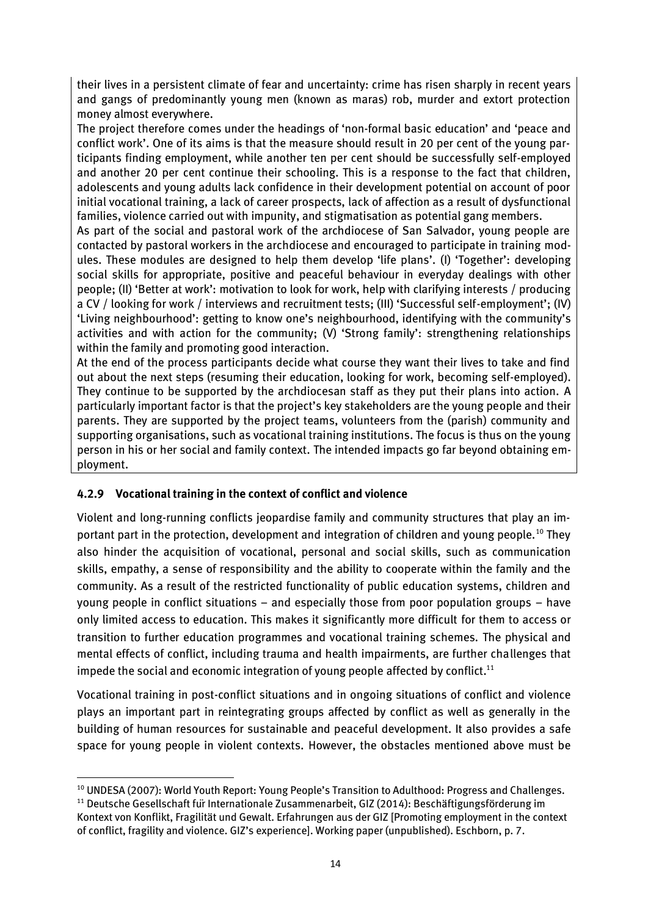*their lives in a persistent climate of fear and uncertainty: crime has risen sharply in recent years and gangs of predominantly young men (known as maras) rob, murder and extort protection money almost everywhere.*

*The project therefore comes under the headings of 'non-formal basic education' and 'peace and conflict work'. One of its aims is that the measure should result in 20 per cent of the young participants finding employment, while another ten per cent should be successfully self-employed and another 20 per cent continue their schooling. This is a response to the fact that children, adolescents and young adults lack confidence in their development potential on account of poor initial vocational training, a lack of career prospects, lack of affection as a result of dysfunctional families, violence carried out with impunity, and stigmatisation as potential gang members.*

*As part of the social and pastoral work of the archdiocese of San Salvador, young people are contacted by pastoral workers in the archdiocese and encouraged to participate in training modules. These modules are designed to help them develop 'life plans'. (I) 'Together': developing social skills for appropriate, positive and peaceful behaviour in everyday dealings with other people; (II) 'Better at work': motivation to look for work, help with clarifying interests / producing a CV / looking for work / interviews and recruitment tests; (III) 'Successful self-employment'; (IV) 'Living neighbourhood': getting to know one's neighbourhood, identifying with the community's activities and with action for the community; (V) 'Strong family': strengthening relationships within the family and promoting good interaction.*

*At the end of the process participants decide what course they want their lives to take and find out about the next steps (resuming their education, looking for work, becoming self-employed). They continue to be supported by the archdiocesan staff as they put their plans into action. A particularly important factor is that the project's key stakeholders are the young people and their parents. They are supported by the project teams, volunteers from the (parish) community and supporting organisations, such as vocational training institutions. The focus is thus on the young person in his or her social and family context. The intended impacts go far beyond obtaining employment.*

## *4.2.9 Vocational training in the context of conflict and violence*

*Violent and long-running conflicts jeopardise family and community structures that play an important part in the protection, development and integration of children and young people.<sup>10</sup> They also hinder the acquisition of vocational, personal and social skills, such as communication skills, empathy, a sense of responsibility and the ability to cooperate within the family and the community. As a result of the restricted functionality of public education systems, children and young people in conflict situations – and especially those from poor population groups – have only limited access to education. This makes it significantly more difficult for them to access or transition to further education programmes and vocational training schemes. The physical and mental effects of conflict, including trauma and health impairments, are further challenges that impede the social and economic integration of young people affected by conflict.<sup>11</sup>*

*Vocational training in post-conflict situations and in ongoing situations of conflict and violence plays an important part in reintegrating groups affected by conflict as well as generally in the building of human resources for sustainable and peaceful development. It also provides a safe space for young people in violent contexts. However, the obstacles mentioned above must be* 

**<sup>.</sup>** *<sup>10</sup> UNDESA (2007): World Youth Report: Young People's Transition to Adulthood: Progress and Challenges.*

*<sup>11</sup> Deutsche Gesellschaft fu*̈*r Internationale Zusammenarbeit, GIZ (2014): Beschäftigungsförderung im Kontext von Konflikt, Fragilität und Gewalt. Erfahrungen aus der GIZ [Promoting employment in the context of conflict, fragility and violence. GIZ's experience]. Working paper (unpublished). Eschborn, p. 7.*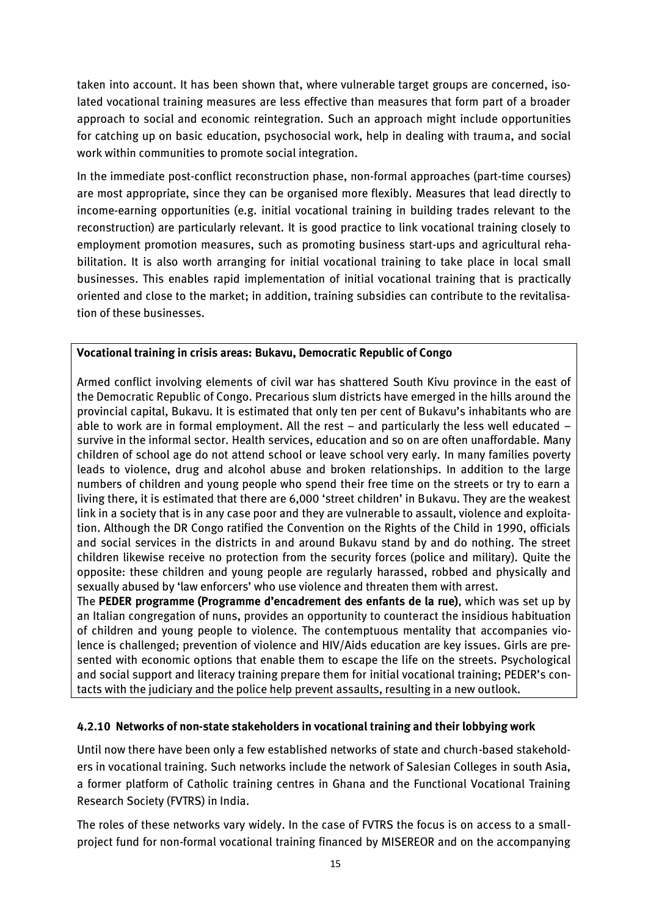*taken into account. It has been shown that, where vulnerable target groups are concerned, isolated vocational training measures are less effective than measures that form part of a broader approach to social and economic reintegration. Such an approach might include opportunities for catching up on basic education, psychosocial work, help in dealing with trauma, and social work within communities to promote social integration.*

*In the immediate post-conflict reconstruction phase, non-formal approaches (part-time courses) are most appropriate, since they can be organised more flexibly. Measures that lead directly to income-earning opportunities (e.g. initial vocational training in building trades relevant to the reconstruction) are particularly relevant. It is good practice to link vocational training closely to employment promotion measures, such as promoting business start-ups and agricultural rehabilitation. It is also worth arranging for initial vocational training to take place in local small businesses. This enables rapid implementation of initial vocational training that is practically oriented and close to the market; in addition, training subsidies can contribute to the revitalisation of these businesses.*

## *Vocational training in crisis areas: Bukavu, Democratic Republic of Congo*

*Armed conflict involving elements of civil war has shattered South Kivu province in the east of the Democratic Republic of Congo. Precarious slum districts have emerged in the hills around the provincial capital, Bukavu. It is estimated that only ten per cent of Bukavu's inhabitants who are able to work are in formal employment. All the rest – and particularly the less well educated – survive in the informal sector. Health services, education and so on are often unaffordable. Many children of school age do not attend school or leave school very early. In many families poverty leads to violence, drug and alcohol abuse and broken relationships. In addition to the large numbers of children and young people who spend their free time on the streets or try to earn a living there, it is estimated that there are 6,000 'street children' in Bukavu. They are the weakest link in a society that is in any case poor and they are vulnerable to assault, violence and exploitation. Although the DR Congo ratified the Convention on the Rights of the Child in 1990, officials and social services in the districts in and around Bukavu stand by and do nothing. The street children likewise receive no protection from the security forces (police and military). Quite the opposite: these children and young people are regularly harassed, robbed and physically and sexually abused by 'law enforcers' who use violence and threaten them with arrest.*

*The PEDER programme (Programme d'encadrement des enfants de la rue), which was set up by an Italian congregation of nuns, provides an opportunity to counteract the insidious habituation of children and young people to violence. The contemptuous mentality that accompanies violence is challenged; prevention of violence and HIV/Aids education are key issues. Girls are presented with economic options that enable them to escape the life on the streets. Psychological and social support and literacy training prepare them for initial vocational training; PEDER's contacts with the judiciary and the police help prevent assaults, resulting in a new outlook.*

## *4.2.10 Networks of non-state stakeholders in vocational training and their lobbying work*

*Until now there have been only a few established networks of state and church-based stakeholders in vocational training. Such networks include the network of Salesian Colleges in south Asia, a former platform of Catholic training centres in Ghana and the Functional Vocational Training Research Society (FVTRS) in India.*

*The roles of these networks vary widely. In the case of FVTRS the focus is on access to a smallproject fund for non-formal vocational training financed by MISEREOR and on the accompanying*